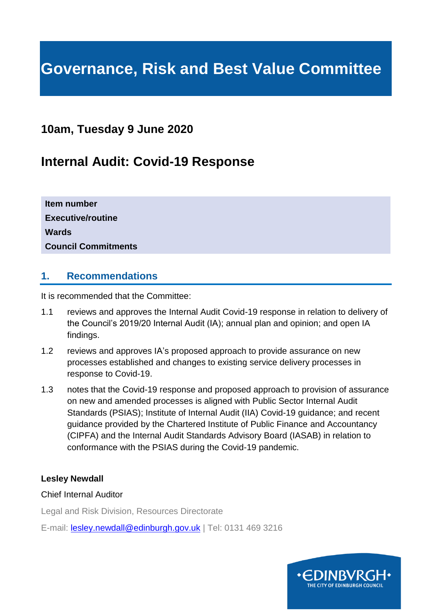# **Governance, Risk and Best Value Committee**

# **10am, Tuesday 9 June 2020**

# **Internal Audit: Covid-19 Response**

| Item number                |  |
|----------------------------|--|
| <b>Executive/routine</b>   |  |
| <b>Wards</b>               |  |
| <b>Council Commitments</b> |  |

### **1. Recommendations**

It is recommended that the Committee:

- 1.1 reviews and approves the Internal Audit Covid-19 response in relation to delivery of the Council's 2019/20 Internal Audit (IA); annual plan and opinion; and open IA findings.
- 1.2 reviews and approves IA's proposed approach to provide assurance on new processes established and changes to existing service delivery processes in response to Covid-19.
- 1.3 notes that the Covid-19 response and proposed approach to provision of assurance on new and amended processes is aligned with Public Sector Internal Audit Standards (PSIAS); Institute of Internal Audit (IIA) Covid-19 guidance; and recent guidance provided by the Chartered Institute of Public Finance and Accountancy (CIPFA) and the Internal Audit Standards Advisory Board (IASAB) in relation to conformance with the PSIAS during the Covid-19 pandemic.

#### **Lesley Newdall**

#### Chief Internal Auditor

Legal and Risk Division, Resources Directorate

E-mail: [lesley.newdall@edinburgh.gov.uk](mailto:lesley.newdall@edinburgh.gov.uk) | Tel: 0131 469 3216

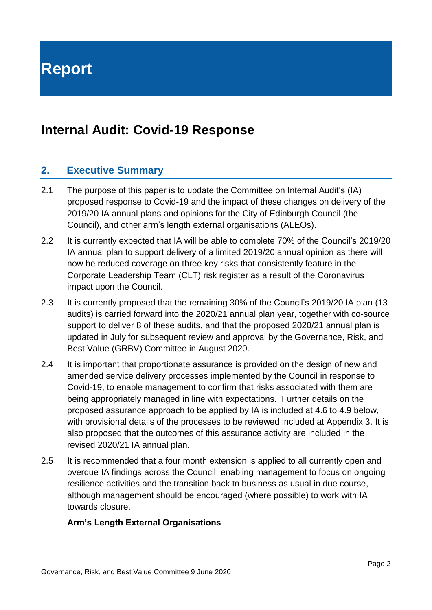**Report**

# **Internal Audit: Covid-19 Response**

### **2. Executive Summary**

- 2.1 The purpose of this paper is to update the Committee on Internal Audit's (IA) proposed response to Covid-19 and the impact of these changes on delivery of the 2019/20 IA annual plans and opinions for the City of Edinburgh Council (the Council), and other arm's length external organisations (ALEOs).
- 2.2 It is currently expected that IA will be able to complete 70% of the Council's 2019/20 IA annual plan to support delivery of a limited 2019/20 annual opinion as there will now be reduced coverage on three key risks that consistently feature in the Corporate Leadership Team (CLT) risk register as a result of the Coronavirus impact upon the Council.
- 2.3 It is currently proposed that the remaining 30% of the Council's 2019/20 IA plan (13 audits) is carried forward into the 2020/21 annual plan year, together with co-source support to deliver 8 of these audits, and that the proposed 2020/21 annual plan is updated in July for subsequent review and approval by the Governance, Risk, and Best Value (GRBV) Committee in August 2020.
- 2.4 It is important that proportionate assurance is provided on the design of new and amended service delivery processes implemented by the Council in response to Covid-19, to enable management to confirm that risks associated with them are being appropriately managed in line with expectations. Further details on the proposed assurance approach to be applied by IA is included at 4.6 to 4.9 below, with provisional details of the processes to be reviewed included at Appendix 3. It is also proposed that the outcomes of this assurance activity are included in the revised 2020/21 IA annual plan.
- 2.5 It is recommended that a four month extension is applied to all currently open and overdue IA findings across the Council, enabling management to focus on ongoing resilience activities and the transition back to business as usual in due course, although management should be encouraged (where possible) to work with IA towards closure.

#### **Arm's Length External Organisations**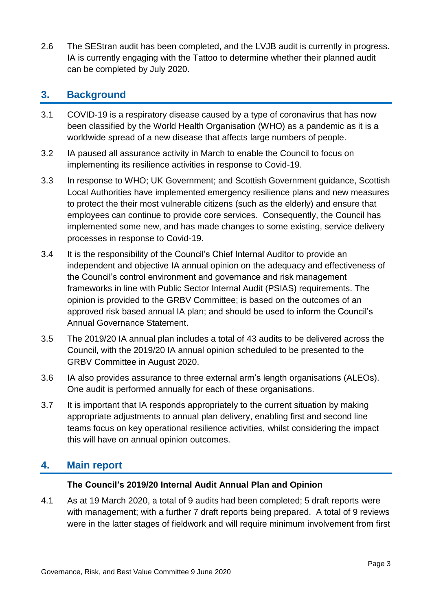2.6 The SEStran audit has been completed, and the LVJB audit is currently in progress. IA is currently engaging with the Tattoo to determine whether their planned audit can be completed by July 2020.

### **3. Background**

- 3.1 COVID-19 is a respiratory disease caused by a type of coronavirus that has now been classified by the World Health Organisation (WHO) as a pandemic as it is a worldwide spread of a new disease that affects large numbers of people.
- 3.2 IA paused all assurance activity in March to enable the Council to focus on implementing its resilience activities in response to Covid-19.
- 3.3 In response to WHO; UK Government; and Scottish Government guidance, Scottish Local Authorities have implemented emergency resilience plans and new measures to protect the their most vulnerable citizens (such as the elderly) and ensure that employees can continue to provide core services. Consequently, the Council has implemented some new, and has made changes to some existing, service delivery processes in response to Covid-19.
- 3.4 It is the responsibility of the Council's Chief Internal Auditor to provide an independent and objective IA annual opinion on the adequacy and effectiveness of the Council's control environment and governance and risk management frameworks in line with Public Sector Internal Audit (PSIAS) requirements. The opinion is provided to the GRBV Committee; is based on the outcomes of an approved risk based annual IA plan; and should be used to inform the Council's Annual Governance Statement.
- 3.5 The 2019/20 IA annual plan includes a total of 43 audits to be delivered across the Council, with the 2019/20 IA annual opinion scheduled to be presented to the GRBV Committee in August 2020.
- 3.6 IA also provides assurance to three external arm's length organisations (ALEOs). One audit is performed annually for each of these organisations.
- 3.7 It is important that IA responds appropriately to the current situation by making appropriate adjustments to annual plan delivery, enabling first and second line teams focus on key operational resilience activities, whilst considering the impact this will have on annual opinion outcomes.

# **4. Main report**

#### **The Council's 2019/20 Internal Audit Annual Plan and Opinion**

4.1 As at 19 March 2020, a total of 9 audits had been completed; 5 draft reports were with management; with a further 7 draft reports being prepared. A total of 9 reviews were in the latter stages of fieldwork and will require minimum involvement from first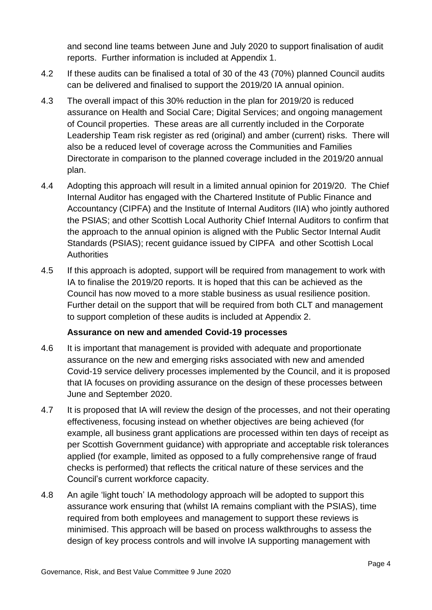and second line teams between June and July 2020 to support finalisation of audit reports. Further information is included at Appendix 1.

- 4.2 If these audits can be finalised a total of 30 of the 43 (70%) planned Council audits can be delivered and finalised to support the 2019/20 IA annual opinion.
- 4.3 The overall impact of this 30% reduction in the plan for 2019/20 is reduced assurance on Health and Social Care; Digital Services; and ongoing management of Council properties. These areas are all currently included in the Corporate Leadership Team risk register as red (original) and amber (current) risks. There will also be a reduced level of coverage across the Communities and Families Directorate in comparison to the planned coverage included in the 2019/20 annual plan.
- 4.4 Adopting this approach will result in a limited annual opinion for 2019/20. The Chief Internal Auditor has engaged with the Chartered Institute of Public Finance and Accountancy (CIPFA) and the Institute of Internal Auditors (IIA) who jointly authored the PSIAS; and other Scottish Local Authority Chief Internal Auditors to confirm that the approach to the annual opinion is aligned with the Public Sector Internal Audit Standards (PSIAS); recent guidance issued by CIPFA and other Scottish Local **Authorities**
- 4.5 If this approach is adopted, support will be required from management to work with IA to finalise the 2019/20 reports. It is hoped that this can be achieved as the Council has now moved to a more stable business as usual resilience position. Further detail on the support that will be required from both CLT and management to support completion of these audits is included at Appendix 2.

#### **Assurance on new and amended Covid-19 processes**

- 4.6 It is important that management is provided with adequate and proportionate assurance on the new and emerging risks associated with new and amended Covid-19 service delivery processes implemented by the Council, and it is proposed that IA focuses on providing assurance on the design of these processes between June and September 2020.
- 4.7 It is proposed that IA will review the design of the processes, and not their operating effectiveness, focusing instead on whether objectives are being achieved (for example, all business grant applications are processed within ten days of receipt as per Scottish Government guidance) with appropriate and acceptable risk tolerances applied (for example, limited as opposed to a fully comprehensive range of fraud checks is performed) that reflects the critical nature of these services and the Council's current workforce capacity.
- 4.8 An agile 'light touch' IA methodology approach will be adopted to support this assurance work ensuring that (whilst IA remains compliant with the PSIAS), time required from both employees and management to support these reviews is minimised. This approach will be based on process walkthroughs to assess the design of key process controls and will involve IA supporting management with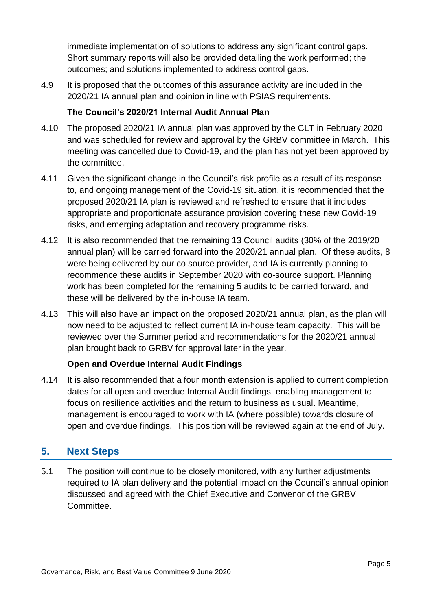immediate implementation of solutions to address any significant control gaps. Short summary reports will also be provided detailing the work performed; the outcomes; and solutions implemented to address control gaps.

4.9 It is proposed that the outcomes of this assurance activity are included in the 2020/21 IA annual plan and opinion in line with PSIAS requirements.

#### **The Council's 2020/21 Internal Audit Annual Plan**

- 4.10 The proposed 2020/21 IA annual plan was approved by the CLT in February 2020 and was scheduled for review and approval by the GRBV committee in March. This meeting was cancelled due to Covid-19, and the plan has not yet been approved by the committee.
- 4.11 Given the significant change in the Council's risk profile as a result of its response to, and ongoing management of the Covid-19 situation, it is recommended that the proposed 2020/21 IA plan is reviewed and refreshed to ensure that it includes appropriate and proportionate assurance provision covering these new Covid-19 risks, and emerging adaptation and recovery programme risks.
- 4.12 It is also recommended that the remaining 13 Council audits (30% of the 2019/20 annual plan) will be carried forward into the 2020/21 annual plan. Of these audits, 8 were being delivered by our co source provider, and IA is currently planning to recommence these audits in September 2020 with co-source support. Planning work has been completed for the remaining 5 audits to be carried forward, and these will be delivered by the in-house IA team.
- 4.13 This will also have an impact on the proposed 2020/21 annual plan, as the plan will now need to be adjusted to reflect current IA in-house team capacity. This will be reviewed over the Summer period and recommendations for the 2020/21 annual plan brought back to GRBV for approval later in the year.

#### **Open and Overdue Internal Audit Findings**

4.14 It is also recommended that a four month extension is applied to current completion dates for all open and overdue Internal Audit findings, enabling management to focus on resilience activities and the return to business as usual. Meantime, management is encouraged to work with IA (where possible) towards closure of open and overdue findings. This position will be reviewed again at the end of July.

# **5. Next Steps**

5.1 The position will continue to be closely monitored, with any further adjustments required to IA plan delivery and the potential impact on the Council's annual opinion discussed and agreed with the Chief Executive and Convenor of the GRBV Committee.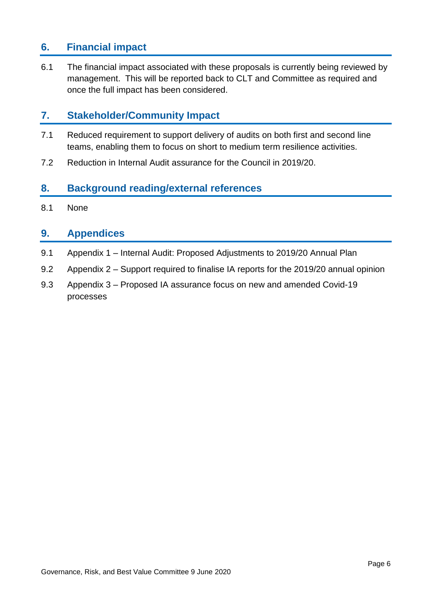# **6. Financial impact**

6.1 The financial impact associated with these proposals is currently being reviewed by management. This will be reported back to CLT and Committee as required and once the full impact has been considered.

### **7. Stakeholder/Community Impact**

- 7.1 Reduced requirement to support delivery of audits on both first and second line teams, enabling them to focus on short to medium term resilience activities.
- 7.2 Reduction in Internal Audit assurance for the Council in 2019/20.

### **8. Background reading/external references**

8.1 None

#### **9. Appendices**

- 9.1 Appendix 1 Internal Audit: Proposed Adjustments to 2019/20 Annual Plan
- 9.2 Appendix 2 Support required to finalise IA reports for the 2019/20 annual opinion
- 9.3 Appendix 3 Proposed IA assurance focus on new and amended Covid-19 processes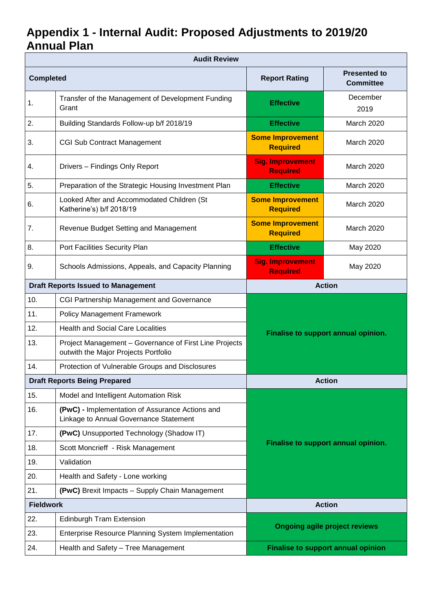# **Appendix 1 - Internal Audit: Proposed Adjustments to 2019/20 Annual Plan**

| <b>Audit Review</b> |                                                                                                |                                            |                                           |
|---------------------|------------------------------------------------------------------------------------------------|--------------------------------------------|-------------------------------------------|
| <b>Completed</b>    |                                                                                                | <b>Report Rating</b>                       | <b>Presented to</b><br><b>Committee</b>   |
| 1.                  | Transfer of the Management of Development Funding<br>Grant                                     | <b>Effective</b>                           | December<br>2019                          |
| 2.                  | Building Standards Follow-up b/f 2018/19                                                       | <b>Effective</b>                           | March 2020                                |
| 3.                  | <b>CGI Sub Contract Management</b>                                                             | <b>Some Improvement</b><br><b>Required</b> | March 2020                                |
| 4.                  | Drivers - Findings Only Report                                                                 | <b>Sig. Improvement</b><br><b>Required</b> | March 2020                                |
| 5.                  | Preparation of the Strategic Housing Investment Plan                                           | <b>Effective</b>                           | March 2020                                |
| 6.                  | Looked After and Accommodated Children (St<br>Katherine's) b/f 2018/19                         | <b>Some Improvement</b><br><b>Required</b> | March 2020                                |
| 7.                  | Revenue Budget Setting and Management                                                          | <b>Some Improvement</b><br><b>Required</b> | March 2020                                |
| 8.                  | Port Facilities Security Plan                                                                  | <b>Effective</b>                           | May 2020                                  |
| 9.                  | Schools Admissions, Appeals, and Capacity Planning                                             | <b>Sig. Improvement</b><br><b>Required</b> | May 2020                                  |
|                     | <b>Draft Reports Issued to Management</b>                                                      | <b>Action</b>                              |                                           |
| 10.                 | CGI Partnership Management and Governance                                                      |                                            |                                           |
| 11.                 | <b>Policy Management Framework</b>                                                             |                                            |                                           |
| 12.                 | <b>Health and Social Care Localities</b>                                                       | Finalise to support annual opinion.        |                                           |
| 13.                 | Project Management - Governance of First Line Projects<br>outwith the Major Projects Portfolio |                                            |                                           |
| 14.                 | Protection of Vulnerable Groups and Disclosures                                                |                                            |                                           |
|                     | <b>Draft Reports Being Prepared</b>                                                            |                                            | <b>Action</b>                             |
| 15.                 | Model and Intelligent Automation Risk                                                          |                                            |                                           |
| 16.                 | (PwC) - Implementation of Assurance Actions and<br>Linkage to Annual Governance Statement      |                                            |                                           |
| 17.                 | (PwC) Unsupported Technology (Shadow IT)                                                       |                                            |                                           |
| 18.                 | Scott Moncrieff - Risk Management                                                              |                                            | Finalise to support annual opinion.       |
| 19.                 | Validation                                                                                     |                                            |                                           |
| 20.                 | Health and Safety - Lone working                                                               |                                            |                                           |
| 21.                 | (PwC) Brexit Impacts - Supply Chain Management                                                 |                                            |                                           |
| <b>Fieldwork</b>    |                                                                                                |                                            | <b>Action</b>                             |
| 22.                 | <b>Edinburgh Tram Extension</b>                                                                |                                            |                                           |
| 23.                 | Enterprise Resource Planning System Implementation                                             | <b>Ongoing agile project reviews</b>       |                                           |
| 24.                 | Health and Safety - Tree Management                                                            |                                            | <b>Finalise to support annual opinion</b> |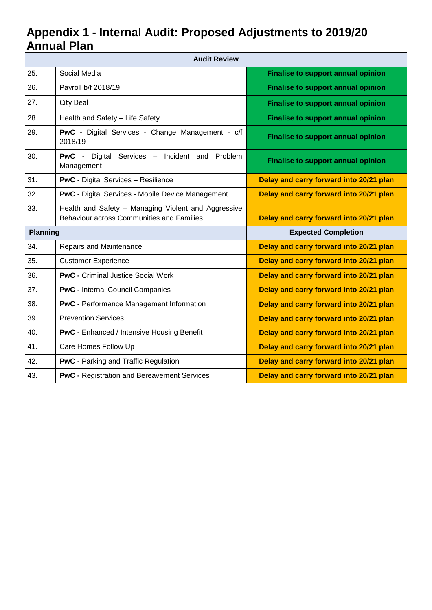# **Appendix 1 - Internal Audit: Proposed Adjustments to 2019/20 Annual Plan**

|                 | <b>Audit Review</b>                                                                              |                                           |
|-----------------|--------------------------------------------------------------------------------------------------|-------------------------------------------|
| 25.             | Social Media                                                                                     | <b>Finalise to support annual opinion</b> |
| 26.             | Payroll b/f 2018/19                                                                              | <b>Finalise to support annual opinion</b> |
| 27.             | <b>City Deal</b>                                                                                 | <b>Finalise to support annual opinion</b> |
| 28.             | Health and Safety - Life Safety                                                                  | <b>Finalise to support annual opinion</b> |
| 29.             | PwC - Digital Services - Change Management - c/f<br>2018/19                                      | <b>Finalise to support annual opinion</b> |
| 30.             | <b>PwC</b> - Digital Services - Incident and Problem<br>Management                               | <b>Finalise to support annual opinion</b> |
| 31.             | <b>PwC</b> - Digital Services - Resilience                                                       | Delay and carry forward into 20/21 plan   |
| 32.             | <b>PwC - Digital Services - Mobile Device Management</b>                                         | Delay and carry forward into 20/21 plan   |
| 33.             | Health and Safety - Managing Violent and Aggressive<br>Behaviour across Communities and Families | Delay and carry forward into 20/21 plan   |
| <b>Planning</b> |                                                                                                  | <b>Expected Completion</b>                |
| 34.             | Repairs and Maintenance                                                                          | Delay and carry forward into 20/21 plan   |
| 35.             | <b>Customer Experience</b>                                                                       | Delay and carry forward into 20/21 plan   |
| 36.             | <b>PwC</b> - Criminal Justice Social Work                                                        | Delay and carry forward into 20/21 plan   |
| 37.             | <b>PwC</b> - Internal Council Companies                                                          | Delay and carry forward into 20/21 plan   |
| 38.             | <b>PwC</b> - Performance Management Information                                                  | Delay and carry forward into 20/21 plan   |
| 39.             | <b>Prevention Services</b>                                                                       | Delay and carry forward into 20/21 plan   |
| 40.             | <b>PwC</b> - Enhanced / Intensive Housing Benefit                                                | Delay and carry forward into 20/21 plan   |
| 41.             | Care Homes Follow Up                                                                             | Delay and carry forward into 20/21 plan   |
| 42.             | <b>PwC</b> - Parking and Traffic Regulation                                                      | Delay and carry forward into 20/21 plan   |
| 43.             | <b>PwC - Registration and Bereavement Services</b>                                               | Delay and carry forward into 20/21 plan   |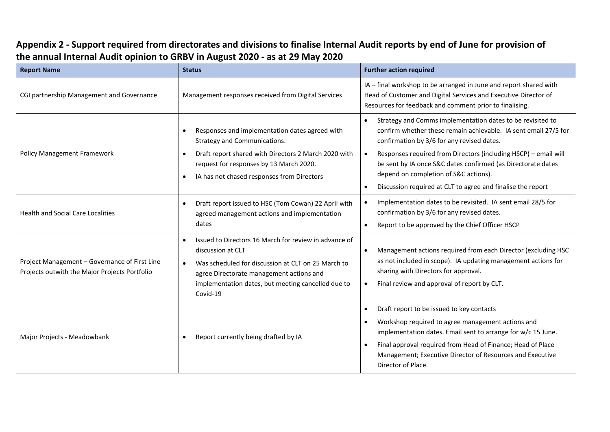| <b>Report Name</b>                                                                             | <b>Status</b>                                                                                                                                                                                                                                                            | <b>Further action required</b>                                                                                                                                                                                                                                                                                                                                                                                                                                |
|------------------------------------------------------------------------------------------------|--------------------------------------------------------------------------------------------------------------------------------------------------------------------------------------------------------------------------------------------------------------------------|---------------------------------------------------------------------------------------------------------------------------------------------------------------------------------------------------------------------------------------------------------------------------------------------------------------------------------------------------------------------------------------------------------------------------------------------------------------|
| CGI partnership Management and Governance                                                      | Management responses received from Digital Services                                                                                                                                                                                                                      | IA - final workshop to be arranged in June and report shared with<br>Head of Customer and Digital Services and Executive Director of<br>Resources for feedback and comment prior to finalising.                                                                                                                                                                                                                                                               |
| Policy Management Framework                                                                    | Responses and implementation dates agreed with<br>$\bullet$<br>Strategy and Communications.<br>Draft report shared with Directors 2 March 2020 with<br>$\bullet$<br>request for responses by 13 March 2020.<br>IA has not chased responses from Directors<br>$\bullet$   | Strategy and Comms implementation dates to be revisited to<br>$\bullet$<br>confirm whether these remain achievable. IA sent email 27/5 for<br>confirmation by 3/6 for any revised dates.<br>Responses required from Directors (including HSCP) - email will<br>$\bullet$<br>be sent by IA once S&C dates confirmed (as Directorate dates<br>depend on completion of S&C actions).<br>Discussion required at CLT to agree and finalise the report<br>$\bullet$ |
| <b>Health and Social Care Localities</b>                                                       | Draft report issued to HSC (Tom Cowan) 22 April with<br>$\bullet$<br>agreed management actions and implementation<br>dates                                                                                                                                               | Implementation dates to be revisited. IA sent email 28/5 for<br>$\bullet$<br>confirmation by 3/6 for any revised dates.<br>Report to be approved by the Chief Officer HSCP<br>$\bullet$                                                                                                                                                                                                                                                                       |
| Project Management - Governance of First Line<br>Projects outwith the Major Projects Portfolio | Issued to Directors 16 March for review in advance of<br>$\bullet$<br>discussion at CLT<br>Was scheduled for discussion at CLT on 25 March to<br>$\bullet$<br>agree Directorate management actions and<br>implementation dates, but meeting cancelled due to<br>Covid-19 | Management actions required from each Director (excluding HSC<br>$\bullet$<br>as not included in scope). IA updating management actions for<br>sharing with Directors for approval.<br>Final review and approval of report by CLT.<br>$\bullet$                                                                                                                                                                                                               |
| Major Projects - Meadowbank                                                                    | Report currently being drafted by IA<br>$\bullet$                                                                                                                                                                                                                        | Draft report to be issued to key contacts<br>$\bullet$<br>Workshop required to agree management actions and<br>$\bullet$<br>implementation dates. Email sent to arrange for w/c 15 June.<br>Final approval required from Head of Finance; Head of Place<br>$\bullet$<br>Management; Executive Director of Resources and Executive<br>Director of Place.                                                                                                       |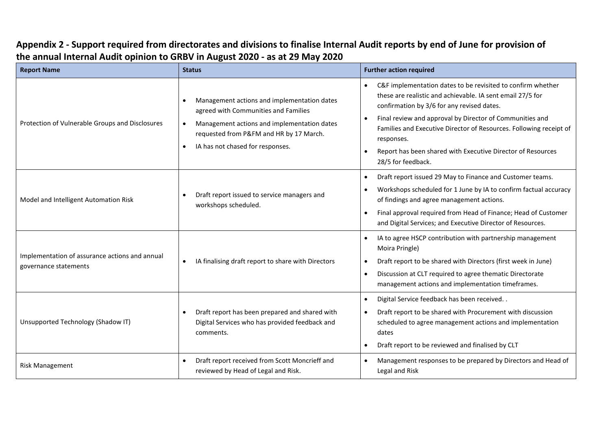| <b>Report Name</b>                                                      | <b>Status</b>                                                                                                                                                                                                                               | <b>Further action required</b>                                                                                                                                                                                                                                                                                                                                                                                                                      |
|-------------------------------------------------------------------------|---------------------------------------------------------------------------------------------------------------------------------------------------------------------------------------------------------------------------------------------|-----------------------------------------------------------------------------------------------------------------------------------------------------------------------------------------------------------------------------------------------------------------------------------------------------------------------------------------------------------------------------------------------------------------------------------------------------|
| Protection of Vulnerable Groups and Disclosures                         | Management actions and implementation dates<br>agreed with Communities and Families<br>Management actions and implementation dates<br>$\bullet$<br>requested from P&FM and HR by 17 March.<br>IA has not chased for responses.<br>$\bullet$ | C&F implementation dates to be revisited to confirm whether<br>$\bullet$<br>these are realistic and achievable. IA sent email 27/5 for<br>confirmation by 3/6 for any revised dates.<br>Final review and approval by Director of Communities and<br>$\bullet$<br>Families and Executive Director of Resources. Following receipt of<br>responses.<br>Report has been shared with Executive Director of Resources<br>$\bullet$<br>28/5 for feedback. |
| Model and Intelligent Automation Risk                                   | Draft report issued to service managers and<br>$\bullet$<br>workshops scheduled.                                                                                                                                                            | Draft report issued 29 May to Finance and Customer teams.<br>$\bullet$<br>Workshops scheduled for 1 June by IA to confirm factual accuracy<br>$\bullet$<br>of findings and agree management actions.<br>Final approval required from Head of Finance; Head of Customer<br>$\bullet$<br>and Digital Services; and Executive Director of Resources.                                                                                                   |
| Implementation of assurance actions and annual<br>governance statements | IA finalising draft report to share with Directors<br>$\bullet$                                                                                                                                                                             | IA to agree HSCP contribution with partnership management<br>$\bullet$<br>Moira Pringle)<br>Draft report to be shared with Directors (first week in June)<br>$\bullet$<br>Discussion at CLT required to agree thematic Directorate<br>$\bullet$<br>management actions and implementation timeframes.                                                                                                                                                |
| Unsupported Technology (Shadow IT)                                      | Draft report has been prepared and shared with<br>$\bullet$<br>Digital Services who has provided feedback and<br>comments.                                                                                                                  | Digital Service feedback has been received. .<br>$\bullet$<br>Draft report to be shared with Procurement with discussion<br>$\bullet$<br>scheduled to agree management actions and implementation<br>dates<br>Draft report to be reviewed and finalised by CLT<br>$\bullet$                                                                                                                                                                         |
| <b>Risk Management</b>                                                  | Draft report received from Scott Moncrieff and<br>$\bullet$<br>reviewed by Head of Legal and Risk.                                                                                                                                          | Management responses to be prepared by Directors and Head of<br>$\bullet$<br>Legal and Risk                                                                                                                                                                                                                                                                                                                                                         |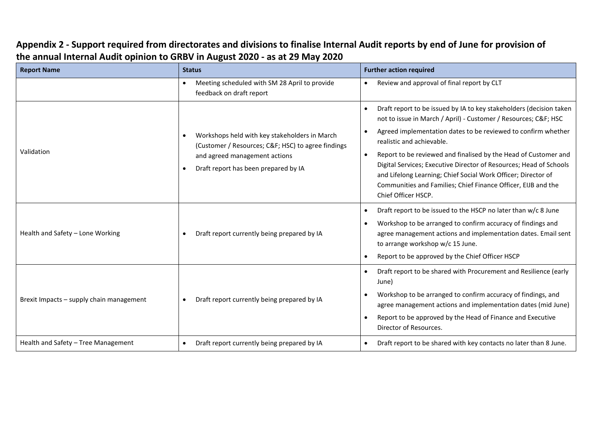| <b>Report Name</b>                       | <b>Status</b>                                                                                                                                                                            | <b>Further action required</b>                                                                                                                                                                                                                                                                                                                                                                                                                                                                                                                                  |
|------------------------------------------|------------------------------------------------------------------------------------------------------------------------------------------------------------------------------------------|-----------------------------------------------------------------------------------------------------------------------------------------------------------------------------------------------------------------------------------------------------------------------------------------------------------------------------------------------------------------------------------------------------------------------------------------------------------------------------------------------------------------------------------------------------------------|
|                                          | Meeting scheduled with SM 28 April to provide<br>$\bullet$<br>feedback on draft report                                                                                                   | Review and approval of final report by CLT                                                                                                                                                                                                                                                                                                                                                                                                                                                                                                                      |
| Validation                               | Workshops held with key stakeholders in March<br>$\bullet$<br>(Customer / Resources; C&F HSC) to agree findings<br>and agreed management actions<br>Draft report has been prepared by IA | Draft report to be issued by IA to key stakeholders (decision taken<br>$\bullet$<br>not to issue in March / April) - Customer / Resources; C&F HSC<br>Agreed implementation dates to be reviewed to confirm whether<br>realistic and achievable.<br>Report to be reviewed and finalised by the Head of Customer and<br>$\bullet$<br>Digital Services; Executive Director of Resources; Head of Schools<br>and Lifelong Learning; Chief Social Work Officer; Director of<br>Communities and Families; Chief Finance Officer, EIJB and the<br>Chief Officer HSCP. |
| Health and Safety - Lone Working         | Draft report currently being prepared by IA                                                                                                                                              | Draft report to be issued to the HSCP no later than w/c 8 June<br>$\bullet$<br>Workshop to be arranged to confirm accuracy of findings and<br>agree management actions and implementation dates. Email sent<br>to arrange workshop w/c 15 June.<br>Report to be approved by the Chief Officer HSCP                                                                                                                                                                                                                                                              |
| Brexit Impacts - supply chain management | Draft report currently being prepared by IA<br>$\bullet$                                                                                                                                 | Draft report to be shared with Procurement and Resilience (early<br>٠<br>June)<br>Workshop to be arranged to confirm accuracy of findings, and<br>agree management actions and implementation dates (mid June)<br>Report to be approved by the Head of Finance and Executive<br>Director of Resources.                                                                                                                                                                                                                                                          |
| Health and Safety - Tree Management      | Draft report currently being prepared by IA<br>$\bullet$                                                                                                                                 | Draft report to be shared with key contacts no later than 8 June.<br>٠                                                                                                                                                                                                                                                                                                                                                                                                                                                                                          |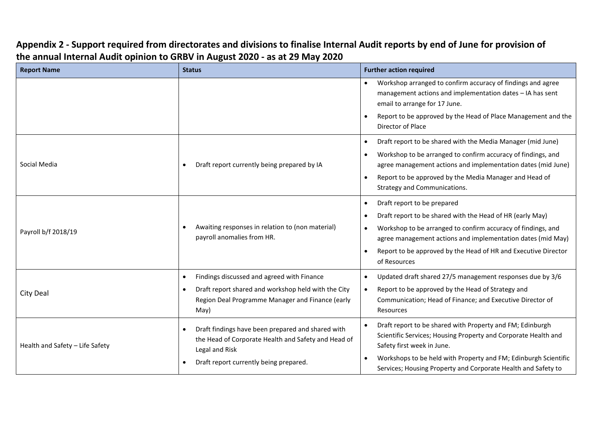| <b>Report Name</b>              | <b>Status</b>                                                                                                                                                                           | <b>Further action required</b>                                                                                                                                                                                                                                                                                                                                |
|---------------------------------|-----------------------------------------------------------------------------------------------------------------------------------------------------------------------------------------|---------------------------------------------------------------------------------------------------------------------------------------------------------------------------------------------------------------------------------------------------------------------------------------------------------------------------------------------------------------|
|                                 |                                                                                                                                                                                         | Workshop arranged to confirm accuracy of findings and agree<br>$\bullet$<br>management actions and implementation dates - IA has sent<br>email to arrange for 17 June.<br>Report to be approved by the Head of Place Management and the<br>Director of Place                                                                                                  |
| Social Media                    | Draft report currently being prepared by IA<br>$\bullet$                                                                                                                                | Draft report to be shared with the Media Manager (mid June)<br>$\bullet$<br>Workshop to be arranged to confirm accuracy of findings, and<br>$\bullet$<br>agree management actions and implementation dates (mid June)<br>Report to be approved by the Media Manager and Head of<br>$\bullet$<br>Strategy and Communications.                                  |
| Payroll b/f 2018/19             | Awaiting responses in relation to (non material)<br>$\bullet$<br>payroll anomalies from HR.                                                                                             | Draft report to be prepared<br>$\bullet$<br>Draft report to be shared with the Head of HR (early May)<br>$\bullet$<br>Workshop to be arranged to confirm accuracy of findings, and<br>$\bullet$<br>agree management actions and implementation dates (mid May)<br>Report to be approved by the Head of HR and Executive Director<br>$\bullet$<br>of Resources |
| City Deal                       | Findings discussed and agreed with Finance<br>$\bullet$<br>Draft report shared and workshop held with the City<br>$\bullet$<br>Region Deal Programme Manager and Finance (early<br>May) | Updated draft shared 27/5 management responses due by 3/6<br>$\bullet$<br>Report to be approved by the Head of Strategy and<br>$\bullet$<br>Communication; Head of Finance; and Executive Director of<br>Resources                                                                                                                                            |
| Health and Safety - Life Safety | Draft findings have been prepared and shared with<br>$\bullet$<br>the Head of Corporate Health and Safety and Head of<br>Legal and Risk<br>Draft report currently being prepared.       | Draft report to be shared with Property and FM; Edinburgh<br>$\bullet$<br>Scientific Services; Housing Property and Corporate Health and<br>Safety first week in June.<br>Workshops to be held with Property and FM; Edinburgh Scientific<br>$\bullet$<br>Services; Housing Property and Corporate Health and Safety to                                       |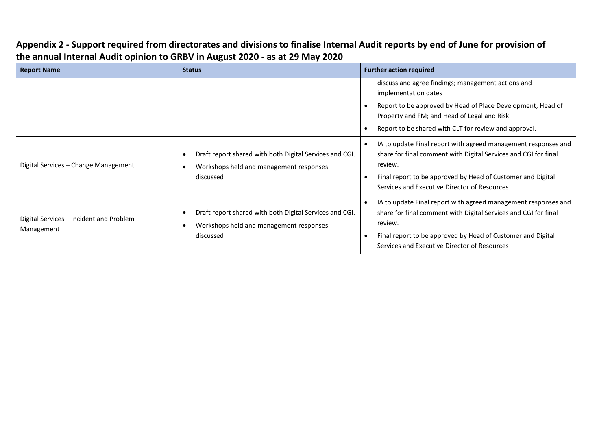| <b>Report Name</b>                                    | <b>Status</b>                                                                                                   | <b>Further action required</b>                                                                                                                                                                                                                              |
|-------------------------------------------------------|-----------------------------------------------------------------------------------------------------------------|-------------------------------------------------------------------------------------------------------------------------------------------------------------------------------------------------------------------------------------------------------------|
|                                                       |                                                                                                                 | discuss and agree findings; management actions and<br>implementation dates<br>Report to be approved by Head of Place Development; Head of<br>Property and FM; and Head of Legal and Risk<br>Report to be shared with CLT for review and approval.           |
| Digital Services - Change Management                  | Draft report shared with both Digital Services and CGI.<br>Workshops held and management responses<br>discussed | IA to update Final report with agreed management responses and<br>share for final comment with Digital Services and CGI for final<br>review.<br>Final report to be approved by Head of Customer and Digital<br>Services and Executive Director of Resources |
| Digital Services - Incident and Problem<br>Management | Draft report shared with both Digital Services and CGI.<br>Workshops held and management responses<br>discussed | IA to update Final report with agreed management responses and<br>share for final comment with Digital Services and CGI for final<br>review.<br>Final report to be approved by Head of Customer and Digital<br>Services and Executive Director of Resources |